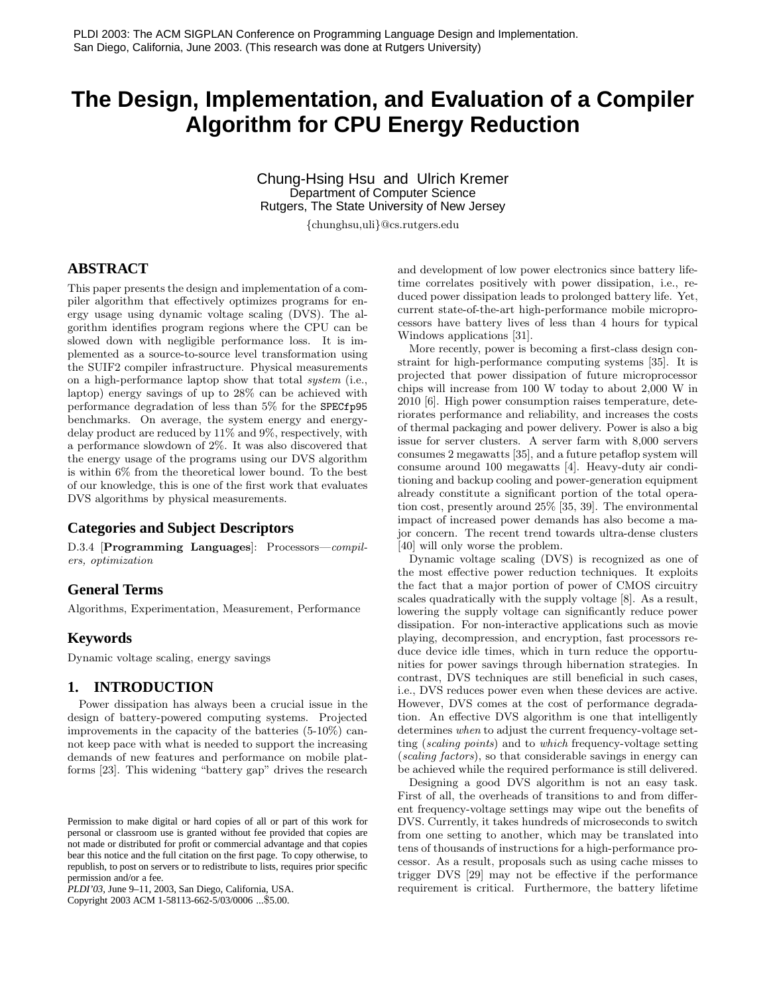# **The Design, Implementation, and Evaluation of a Compiler Algorithm for CPU Energy Reduction**

Chung-Hsing Hsu and Ulrich Kremer Department of Computer Science Rutgers, The State University of New Jersey

{chunghsu,uli}@cs.rutgers.edu

# **ABSTRACT**

This paper presents the design and implementation of a compiler algorithm that effectively optimizes programs for energy usage using dynamic voltage scaling (DVS). The algorithm identifies program regions where the CPU can be slowed down with negligible performance loss. It is implemented as a source-to-source level transformation using the SUIF2 compiler infrastructure. Physical measurements on a high-performance laptop show that total system (i.e., laptop) energy savings of up to 28% can be achieved with performance degradation of less than 5% for the SPECfp95 benchmarks. On average, the system energy and energydelay product are reduced by 11% and 9%, respectively, with a performance slowdown of 2%. It was also discovered that the energy usage of the programs using our DVS algorithm is within 6% from the theoretical lower bound. To the best of our knowledge, this is one of the first work that evaluates DVS algorithms by physical measurements.

## **Categories and Subject Descriptors**

D.3.4 [Programming Languages]: Processors—compilers, optimization

# **General Terms**

Algorithms, Experimentation, Measurement, Performance

# **Keywords**

Dynamic voltage scaling, energy savings

## **1. INTRODUCTION**

Power dissipation has always been a crucial issue in the design of battery-powered computing systems. Projected improvements in the capacity of the batteries (5-10%) cannot keep pace with what is needed to support the increasing demands of new features and performance on mobile platforms [23]. This widening "battery gap" drives the research

Copyright 2003 ACM 1-58113-662-5/03/0006 ...\$5.00.

and development of low power electronics since battery lifetime correlates positively with power dissipation, i.e., reduced power dissipation leads to prolonged battery life. Yet, current state-of-the-art high-performance mobile microprocessors have battery lives of less than 4 hours for typical Windows applications [31].

More recently, power is becoming a first-class design constraint for high-performance computing systems [35]. It is projected that power dissipation of future microprocessor chips will increase from 100 W today to about 2,000 W in 2010 [6]. High power consumption raises temperature, deteriorates performance and reliability, and increases the costs of thermal packaging and power delivery. Power is also a big issue for server clusters. A server farm with 8,000 servers consumes 2 megawatts [35], and a future petaflop system will consume around 100 megawatts [4]. Heavy-duty air conditioning and backup cooling and power-generation equipment already constitute a significant portion of the total operation cost, presently around 25% [35, 39]. The environmental impact of increased power demands has also become a major concern. The recent trend towards ultra-dense clusters [40] will only worse the problem.

Dynamic voltage scaling (DVS) is recognized as one of the most effective power reduction techniques. It exploits the fact that a major portion of power of CMOS circuitry scales quadratically with the supply voltage [8]. As a result, lowering the supply voltage can significantly reduce power dissipation. For non-interactive applications such as movie playing, decompression, and encryption, fast processors reduce device idle times, which in turn reduce the opportunities for power savings through hibernation strategies. In contrast, DVS techniques are still beneficial in such cases, i.e., DVS reduces power even when these devices are active. However, DVS comes at the cost of performance degradation. An effective DVS algorithm is one that intelligently determines when to adjust the current frequency-voltage setting (scaling points) and to which frequency-voltage setting (scaling factors), so that considerable savings in energy can be achieved while the required performance is still delivered.

Designing a good DVS algorithm is not an easy task. First of all, the overheads of transitions to and from different frequency-voltage settings may wipe out the benefits of DVS. Currently, it takes hundreds of microseconds to switch from one setting to another, which may be translated into tens of thousands of instructions for a high-performance processor. As a result, proposals such as using cache misses to trigger DVS [29] may not be effective if the performance requirement is critical. Furthermore, the battery lifetime

Permission to make digital or hard copies of all or part of this work for personal or classroom use is granted without fee provided that copies are not made or distributed for profit or commercial advantage and that copies bear this notice and the full citation on the first page. To copy otherwise, to republish, to post on servers or to redistribute to lists, requires prior specific permission and/or a fee.

*PLDI'03,* June 9–11, 2003, San Diego, California, USA.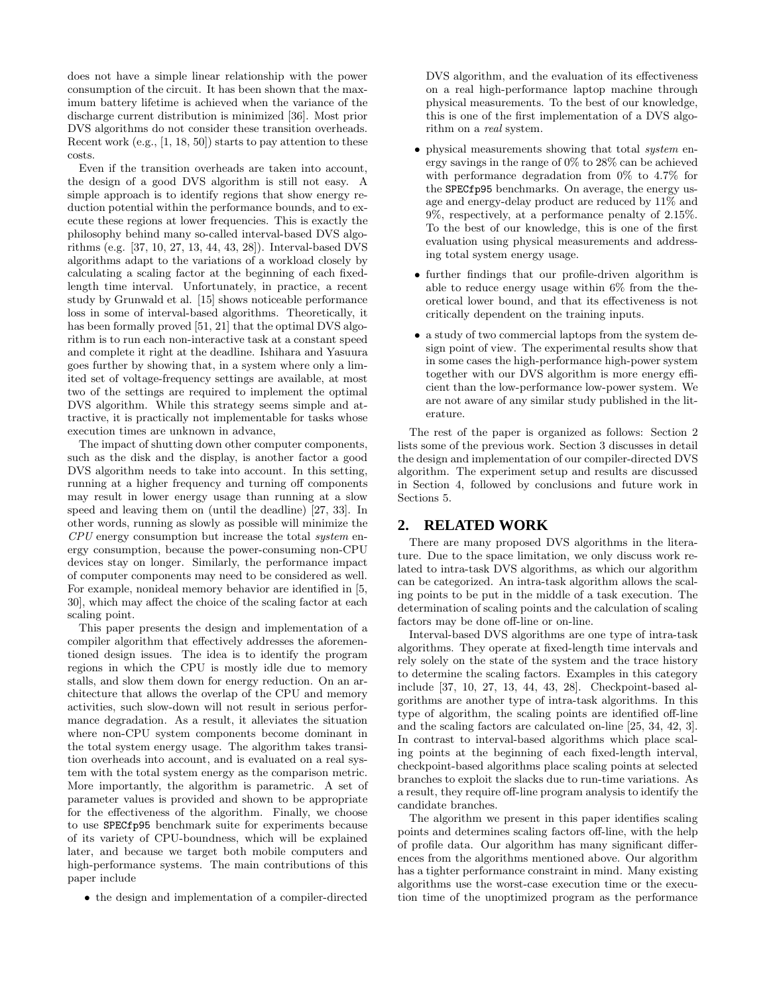does not have a simple linear relationship with the power consumption of the circuit. It has been shown that the maximum battery lifetime is achieved when the variance of the discharge current distribution is minimized [36]. Most prior DVS algorithms do not consider these transition overheads. Recent work (e.g., [1, 18, 50]) starts to pay attention to these costs.

Even if the transition overheads are taken into account, the design of a good DVS algorithm is still not easy. A simple approach is to identify regions that show energy reduction potential within the performance bounds, and to execute these regions at lower frequencies. This is exactly the philosophy behind many so-called interval-based DVS algorithms (e.g. [37, 10, 27, 13, 44, 43, 28]). Interval-based DVS algorithms adapt to the variations of a workload closely by calculating a scaling factor at the beginning of each fixedlength time interval. Unfortunately, in practice, a recent study by Grunwald et al. [15] shows noticeable performance loss in some of interval-based algorithms. Theoretically, it has been formally proved [51, 21] that the optimal DVS algorithm is to run each non-interactive task at a constant speed and complete it right at the deadline. Ishihara and Yasuura goes further by showing that, in a system where only a limited set of voltage-frequency settings are available, at most two of the settings are required to implement the optimal DVS algorithm. While this strategy seems simple and attractive, it is practically not implementable for tasks whose execution times are unknown in advance,

The impact of shutting down other computer components, such as the disk and the display, is another factor a good DVS algorithm needs to take into account. In this setting, running at a higher frequency and turning off components may result in lower energy usage than running at a slow speed and leaving them on (until the deadline) [27, 33]. In other words, running as slowly as possible will minimize the CPU energy consumption but increase the total system energy consumption, because the power-consuming non-CPU devices stay on longer. Similarly, the performance impact of computer components may need to be considered as well. For example, nonideal memory behavior are identified in [5, 30], which may affect the choice of the scaling factor at each scaling point.

This paper presents the design and implementation of a compiler algorithm that effectively addresses the aforementioned design issues. The idea is to identify the program regions in which the CPU is mostly idle due to memory stalls, and slow them down for energy reduction. On an architecture that allows the overlap of the CPU and memory activities, such slow-down will not result in serious performance degradation. As a result, it alleviates the situation where non-CPU system components become dominant in the total system energy usage. The algorithm takes transition overheads into account, and is evaluated on a real system with the total system energy as the comparison metric. More importantly, the algorithm is parametric. A set of parameter values is provided and shown to be appropriate for the effectiveness of the algorithm. Finally, we choose to use SPECfp95 benchmark suite for experiments because of its variety of CPU-boundness, which will be explained later, and because we target both mobile computers and high-performance systems. The main contributions of this paper include

• the design and implementation of a compiler-directed

DVS algorithm, and the evaluation of its effectiveness on a real high-performance laptop machine through physical measurements. To the best of our knowledge, this is one of the first implementation of a DVS algorithm on a real system.

- physical measurements showing that total *system* energy savings in the range of 0% to 28% can be achieved with performance degradation from 0% to 4.7% for the SPECfp95 benchmarks. On average, the energy usage and energy-delay product are reduced by 11% and 9%, respectively, at a performance penalty of 2.15%. To the best of our knowledge, this is one of the first evaluation using physical measurements and addressing total system energy usage.
- further findings that our profile-driven algorithm is able to reduce energy usage within 6% from the theoretical lower bound, and that its effectiveness is not critically dependent on the training inputs.
- a study of two commercial laptops from the system design point of view. The experimental results show that in some cases the high-performance high-power system together with our DVS algorithm is more energy efficient than the low-performance low-power system. We are not aware of any similar study published in the literature.

The rest of the paper is organized as follows: Section 2 lists some of the previous work. Section 3 discusses in detail the design and implementation of our compiler-directed DVS algorithm. The experiment setup and results are discussed in Section 4, followed by conclusions and future work in Sections 5.

#### **2. RELATED WORK**

There are many proposed DVS algorithms in the literature. Due to the space limitation, we only discuss work related to intra-task DVS algorithms, as which our algorithm can be categorized. An intra-task algorithm allows the scaling points to be put in the middle of a task execution. The determination of scaling points and the calculation of scaling factors may be done off-line or on-line.

Interval-based DVS algorithms are one type of intra-task algorithms. They operate at fixed-length time intervals and rely solely on the state of the system and the trace history to determine the scaling factors. Examples in this category include [37, 10, 27, 13, 44, 43, 28]. Checkpoint-based algorithms are another type of intra-task algorithms. In this type of algorithm, the scaling points are identified off-line and the scaling factors are calculated on-line [25, 34, 42, 3]. In contrast to interval-based algorithms which place scaling points at the beginning of each fixed-length interval, checkpoint-based algorithms place scaling points at selected branches to exploit the slacks due to run-time variations. As a result, they require off-line program analysis to identify the candidate branches.

The algorithm we present in this paper identifies scaling points and determines scaling factors off-line, with the help of profile data. Our algorithm has many significant differences from the algorithms mentioned above. Our algorithm has a tighter performance constraint in mind. Many existing algorithms use the worst-case execution time or the execution time of the unoptimized program as the performance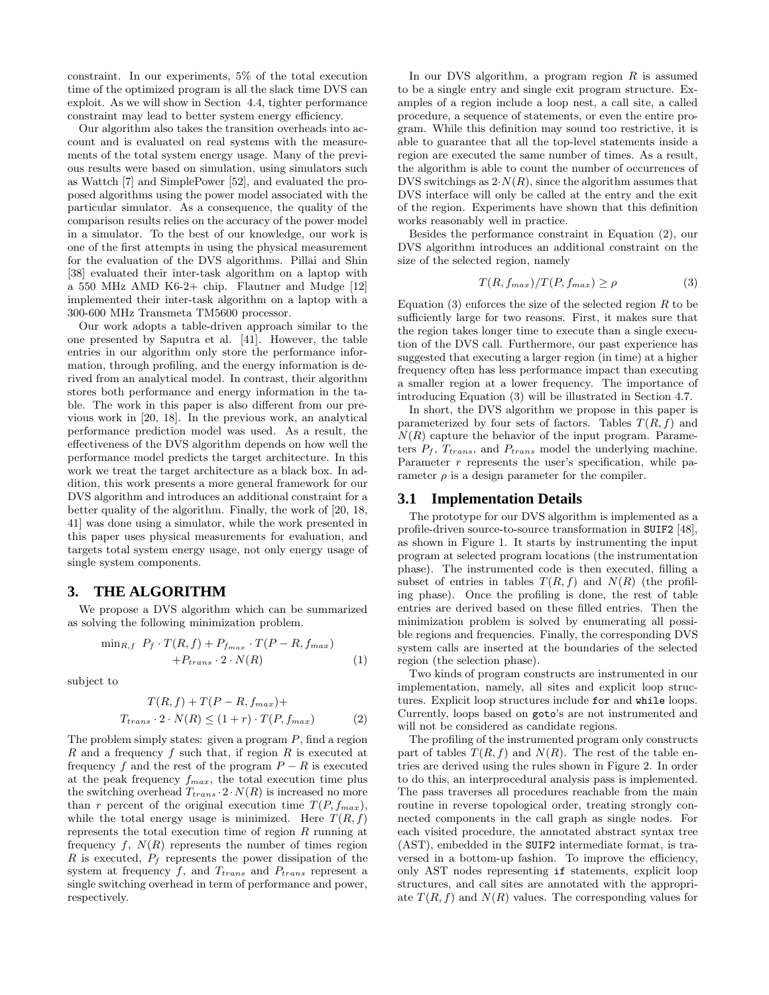constraint. In our experiments, 5% of the total execution time of the optimized program is all the slack time DVS can exploit. As we will show in Section 4.4, tighter performance constraint may lead to better system energy efficiency.

Our algorithm also takes the transition overheads into account and is evaluated on real systems with the measurements of the total system energy usage. Many of the previous results were based on simulation, using simulators such as Wattch [7] and SimplePower [52], and evaluated the proposed algorithms using the power model associated with the particular simulator. As a consequence, the quality of the comparison results relies on the accuracy of the power model in a simulator. To the best of our knowledge, our work is one of the first attempts in using the physical measurement for the evaluation of the DVS algorithms. Pillai and Shin [38] evaluated their inter-task algorithm on a laptop with a 550 MHz AMD K6-2+ chip. Flautner and Mudge [12] implemented their inter-task algorithm on a laptop with a 300-600 MHz Transmeta TM5600 processor.

Our work adopts a table-driven approach similar to the one presented by Saputra et al. [41]. However, the table entries in our algorithm only store the performance information, through profiling, and the energy information is derived from an analytical model. In contrast, their algorithm stores both performance and energy information in the table. The work in this paper is also different from our previous work in [20, 18]. In the previous work, an analytical performance prediction model was used. As a result, the effectiveness of the DVS algorithm depends on how well the performance model predicts the target architecture. In this work we treat the target architecture as a black box. In addition, this work presents a more general framework for our DVS algorithm and introduces an additional constraint for a better quality of the algorithm. Finally, the work of [20, 18, 41] was done using a simulator, while the work presented in this paper uses physical measurements for evaluation, and targets total system energy usage, not only energy usage of single system components.

#### **3. THE ALGORITHM**

We propose a DVS algorithm which can be summarized as solving the following minimization problem.

$$
\min_{R,f} P_f \cdot T(R,f) + P_{f_{max}} \cdot T(P - R, f_{max})
$$
  
+
$$
P_{trans} \cdot 2 \cdot N(R)
$$
 (1)

subject to

$$
T(R, f) + T(P - R, f_{max}) +
$$
  
\n
$$
T_{trans} \cdot 2 \cdot N(R) \le (1 + r) \cdot T(P, f_{max})
$$
\n(2)

The problem simply states: given a program P, find a region R and a frequency f such that, if region R is executed at frequency f and the rest of the program  $P - R$  is executed at the peak frequency  $f_{max}$ , the total execution time plus the switching overhead  $T_{trans} \cdot 2 \cdot N(R)$  is increased no more than r percent of the original execution time  $T(P, f_{max})$ , while the total energy usage is minimized. Here  $T(R, f)$ represents the total execution time of region R running at frequency f,  $N(R)$  represents the number of times region R is executed,  $P_f$  represents the power dissipation of the system at frequency  $f$ , and  $T_{trans}$  and  $P_{trans}$  represent a single switching overhead in term of performance and power, respectively.

In our DVS algorithm, a program region  $R$  is assumed to be a single entry and single exit program structure. Examples of a region include a loop nest, a call site, a called procedure, a sequence of statements, or even the entire program. While this definition may sound too restrictive, it is able to guarantee that all the top-level statements inside a region are executed the same number of times. As a result, the algorithm is able to count the number of occurrences of DVS switchings as  $2\cdot N(R)$ , since the algorithm assumes that DVS interface will only be called at the entry and the exit of the region. Experiments have shown that this definition works reasonably well in practice.

Besides the performance constraint in Equation (2), our DVS algorithm introduces an additional constraint on the size of the selected region, namely

$$
T(R, f_{max})/T(P, f_{max}) \ge \rho \tag{3}
$$

Equation  $(3)$  enforces the size of the selected region R to be sufficiently large for two reasons. First, it makes sure that the region takes longer time to execute than a single execution of the DVS call. Furthermore, our past experience has suggested that executing a larger region (in time) at a higher frequency often has less performance impact than executing a smaller region at a lower frequency. The importance of introducing Equation (3) will be illustrated in Section 4.7.

In short, the DVS algorithm we propose in this paper is parameterized by four sets of factors. Tables  $T(R, f)$  and  $N(R)$  capture the behavior of the input program. Parameters  $P_f$ ,  $T_{trans}$ , and  $P_{trans}$  model the underlying machine. Parameter  $r$  represents the user's specification, while parameter  $\rho$  is a design parameter for the compiler.

#### **3.1 Implementation Details**

The prototype for our DVS algorithm is implemented as a profile-driven source-to-source transformation in SUIF2 [48], as shown in Figure 1. It starts by instrumenting the input program at selected program locations (the instrumentation phase). The instrumented code is then executed, filling a subset of entries in tables  $T(R, f)$  and  $N(R)$  (the profiling phase). Once the profiling is done, the rest of table entries are derived based on these filled entries. Then the minimization problem is solved by enumerating all possible regions and frequencies. Finally, the corresponding DVS system calls are inserted at the boundaries of the selected region (the selection phase).

Two kinds of program constructs are instrumented in our implementation, namely, all sites and explicit loop structures. Explicit loop structures include for and while loops. Currently, loops based on goto's are not instrumented and will not be considered as candidate regions.

The profiling of the instrumented program only constructs part of tables  $T(R, f)$  and  $N(R)$ . The rest of the table entries are derived using the rules shown in Figure 2. In order to do this, an interprocedural analysis pass is implemented. The pass traverses all procedures reachable from the main routine in reverse topological order, treating strongly connected components in the call graph as single nodes. For each visited procedure, the annotated abstract syntax tree (AST), embedded in the SUIF2 intermediate format, is traversed in a bottom-up fashion. To improve the efficiency, only AST nodes representing if statements, explicit loop structures, and call sites are annotated with the appropriate  $T(R, f)$  and  $N(R)$  values. The corresponding values for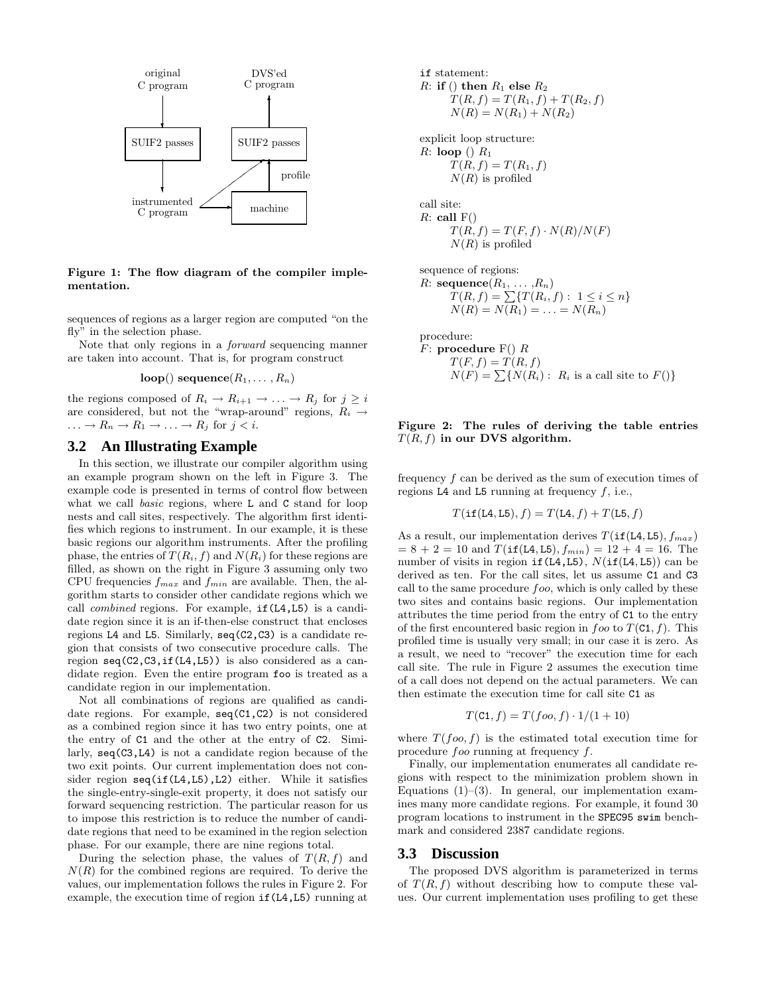

Figure 1: The flow diagram of the compiler implementation.

sequences of regions as a larger region are computed "on the fly" in the selection phase.

Note that only regions in a forward sequencing manner are taken into account. That is, for program construct

loop() sequence
$$
(R_1, \ldots, R_n)
$$

the regions composed of  $R_i \to R_{i+1} \to \ldots \to R_j$  for  $j \geq i$ are considered, but not the "wrap-around" regions,  $R_i \rightarrow$  $\ldots \to R_n \to R_1 \to \ldots \to R_j$  for  $j < i$ .

#### **3.2 An Illustrating Example**

In this section, we illustrate our compiler algorithm using an example program shown on the left in Figure 3. The example code is presented in terms of control flow between what we call *basic* regions, where L and C stand for loop nests and call sites, respectively. The algorithm first identifies which regions to instrument. In our example, it is these basic regions our algorithm instruments. After the profiling phase, the entries of  $T(R_i, f)$  and  $N(R_i)$  for these regions are filled, as shown on the right in Figure 3 assuming only two CPU frequencies  $f_{max}$  and  $f_{min}$  are available. Then, the algorithm starts to consider other candidate regions which we call combined regions. For example, if(L4,L5) is a candidate region since it is an if-then-else construct that encloses regions L4 and L5. Similarly, seq(C2,C3) is a candidate region that consists of two consecutive procedure calls. The region seq(C2,C3,if(L4,L5)) is also considered as a candidate region. Even the entire program foo is treated as a candidate region in our implementation.

Not all combinations of regions are qualified as candidate regions. For example, seq(C1,C2) is not considered as a combined region since it has two entry points, one at the entry of C1 and the other at the entry of C2. Similarly, seq(C3,L4) is not a candidate region because of the two exit points. Our current implementation does not consider region seq(if(L4,L5),L2) either. While it satisfies the single-entry-single-exit property, it does not satisfy our forward sequencing restriction. The particular reason for us to impose this restriction is to reduce the number of candidate regions that need to be examined in the region selection phase. For our example, there are nine regions total.

During the selection phase, the values of  $T(R, f)$  and  $N(R)$  for the combined regions are required. To derive the values, our implementation follows the rules in Figure 2. For example, the execution time of region if  $(L4, L5)$  running at

```
if statement:
R: if () then R_1 else R_2T(R, f) = T(R_1, f) + T(R_2, f)N(R) = N(R_1) + N(R_2)
```

```
explicit loop structure:
R: \textbf{loop} () R_1T(R, f) = T(R_1, f)N(R) is profiled
```
call site:  $R:$  call  $F()$  $T(R, f) = T(F, f) \cdot N(R)/N(F)$  $N(R)$  is profiled

sequence of regions:  
\n*R*: **sequence**(
$$
R_1, ..., R_n
$$
)  
\n
$$
T(R, f) = \sum \{T(R_i, f) : 1 \le i \le n\}
$$
\n
$$
N(R) = N(R_1) = ... = N(R_n)
$$

procedure:  $F:$  procedure  $F() R$  $T(F, f) = T(R, f)$  $N(F) = \sum \{N(R_i): R_i \text{ is a call site to } F(\)$ 

#### Figure 2: The rules of deriving the table entries  $T(R, f)$  in our DVS algorithm.

frequency f can be derived as the sum of execution times of regions L4 and L5 running at frequency  $f$ , i.e.,

$$
T(\texttt{if(L4,L5)}, f) = T(\texttt{L4}, f) + T(\texttt{L5}, f)
$$

As a result, our implementation derives  $T(\text{if}(L4, L5), f_{max})$  $= 8 + 2 = 10$  and  $T(\text{if}(L4, L5), f_{min}) = 12 + 4 = 16$ . The number of visits in region  $if(L4, L5), N(if(L4, L5))$  can be derived as ten. For the call sites, let us assume C1 and C3 call to the same procedure foo, which is only called by these two sites and contains basic regions. Our implementation attributes the time period from the entry of C1 to the entry of the first encountered basic region in  $f \circ \sigma$  to  $T(\text{C1}, f)$ . This profiled time is usually very small; in our case it is zero. As a result, we need to "recover" the execution time for each call site. The rule in Figure 2 assumes the execution time of a call does not depend on the actual parameters. We can then estimate the execution time for call site C1 as

$$
T(\text{C1}, f) = T(foo, f) \cdot 1/(1+10)
$$

where  $T(foo, f)$  is the estimated total execution time for procedure foo running at frequency f.

Finally, our implementation enumerates all candidate regions with respect to the minimization problem shown in Equations  $(1)$ – $(3)$ . In general, our implementation examines many more candidate regions. For example, it found 30 program locations to instrument in the SPEC95 swim benchmark and considered 2387 candidate regions.

#### **3.3 Discussion**

The proposed DVS algorithm is parameterized in terms of  $T(R, f)$  without describing how to compute these values. Our current implementation uses profiling to get these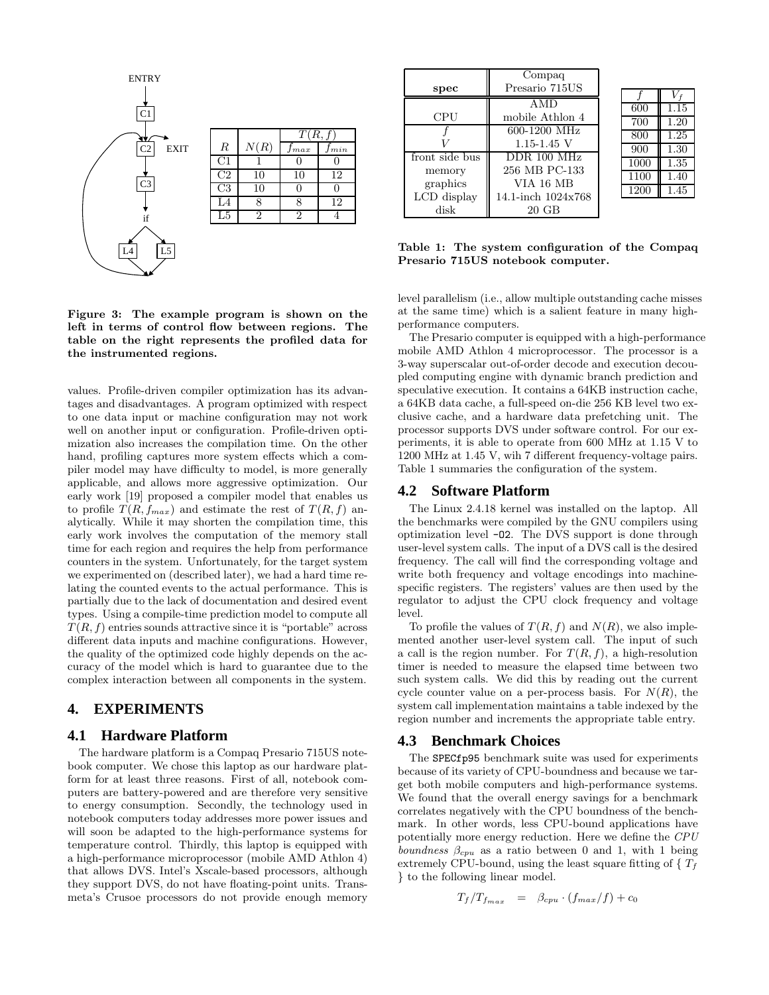

Compaq spec | Presario 715US AMD CPU mobile Athlon 4 f 600-1200 MHz V 1.15-1.45 V front side bus DDR 100 MHz memory 256 MB PC-133 graphics VIA 16 MB LCD display  $\parallel$  14.1-inch 1024x768 disk  $\parallel$  20 GB

| 600  | 1.15 |
|------|------|
| 700  | 1.20 |
| 800  | 1.25 |
| 900  | 1.30 |
| 1000 | 1.35 |
| 1100 | 1.40 |
| 1200 | 1.45 |
|      |      |

Table 1: The system configuration of the Compaq Presario 715US notebook computer.

Figure 3: The example program is shown on the left in terms of control flow between regions. The table on the right represents the profiled data for the instrumented regions.

values. Profile-driven compiler optimization has its advantages and disadvantages. A program optimized with respect to one data input or machine configuration may not work well on another input or configuration. Profile-driven optimization also increases the compilation time. On the other hand, profiling captures more system effects which a compiler model may have difficulty to model, is more generally applicable, and allows more aggressive optimization. Our early work [19] proposed a compiler model that enables us to profile  $T(R, f_{max})$  and estimate the rest of  $T(R, f)$  analytically. While it may shorten the compilation time, this early work involves the computation of the memory stall time for each region and requires the help from performance counters in the system. Unfortunately, for the target system we experimented on (described later), we had a hard time relating the counted events to the actual performance. This is partially due to the lack of documentation and desired event types. Using a compile-time prediction model to compute all  $T(R, f)$  entries sounds attractive since it is "portable" across different data inputs and machine configurations. However, the quality of the optimized code highly depends on the accuracy of the model which is hard to guarantee due to the complex interaction between all components in the system.

### **4. EXPERIMENTS**

## **4.1 Hardware Platform**

The hardware platform is a Compaq Presario 715US notebook computer. We chose this laptop as our hardware platform for at least three reasons. First of all, notebook computers are battery-powered and are therefore very sensitive to energy consumption. Secondly, the technology used in notebook computers today addresses more power issues and will soon be adapted to the high-performance systems for temperature control. Thirdly, this laptop is equipped with a high-performance microprocessor (mobile AMD Athlon 4) that allows DVS. Intel's Xscale-based processors, although they support DVS, do not have floating-point units. Transmeta's Crusoe processors do not provide enough memory level parallelism (i.e., allow multiple outstanding cache misses at the same time) which is a salient feature in many highperformance computers.

The Presario computer is equipped with a high-performance mobile AMD Athlon 4 microprocessor. The processor is a 3-way superscalar out-of-order decode and execution decoupled computing engine with dynamic branch prediction and speculative execution. It contains a 64KB instruction cache, a 64KB data cache, a full-speed on-die 256 KB level two exclusive cache, and a hardware data prefetching unit. The processor supports DVS under software control. For our experiments, it is able to operate from 600 MHz at 1.15 V to 1200 MHz at 1.45 V, wih 7 different frequency-voltage pairs. Table 1 summaries the configuration of the system.

### **4.2 Software Platform**

The Linux 2.4.18 kernel was installed on the laptop. All the benchmarks were compiled by the GNU compilers using optimization level -O2. The DVS support is done through user-level system calls. The input of a DVS call is the desired frequency. The call will find the corresponding voltage and write both frequency and voltage encodings into machinespecific registers. The registers' values are then used by the regulator to adjust the CPU clock frequency and voltage level.

To profile the values of  $T(R, f)$  and  $N(R)$ , we also implemented another user-level system call. The input of such a call is the region number. For  $T(R, f)$ , a high-resolution timer is needed to measure the elapsed time between two such system calls. We did this by reading out the current cycle counter value on a per-process basis. For  $N(R)$ , the system call implementation maintains a table indexed by the region number and increments the appropriate table entry.

#### **4.3 Benchmark Choices**

The SPECfp95 benchmark suite was used for experiments because of its variety of CPU-boundness and because we target both mobile computers and high-performance systems. We found that the overall energy savings for a benchmark correlates negatively with the CPU boundness of the benchmark. In other words, less CPU-bound applications have potentially more energy reduction. Here we define the CPU boundness  $\beta_{cpu}$  as a ratio between 0 and 1, with 1 being extremely CPU-bound, using the least square fitting of  $\{T_f$ } to the following linear model.

$$
T_f / T_{f_{max}} = \beta_{cpu} \cdot (f_{max} / f) + c_0
$$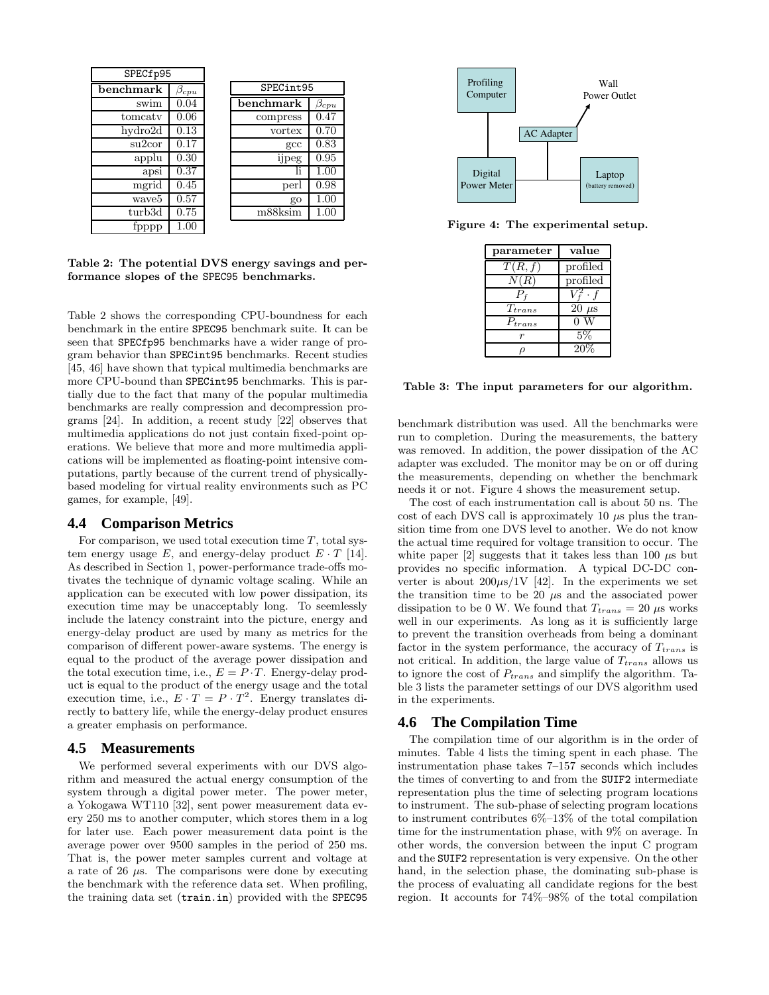| SPECfp95  |               |                            |               |
|-----------|---------------|----------------------------|---------------|
| benchmark | $\beta_{cpu}$ | SPECint95                  |               |
| swim      | 0.04          | $\operatorname{benchmark}$ | $\beta_{cpu}$ |
| tomcaty   | 0.06          | compress                   | 0.47          |
| hydro2d   | 0.13          | vortex                     | 0.70          |
| su2cor    | 0.17          | $_{\rm gcc}$               | 0.83          |
| applu     | 0.30          | ijpeg                      | 0.95          |
| apsi      | 0.37          | h                          | 1.00          |
| mgrid     | 0.45          | perl                       | 0.98          |
| wave5     | 0.57          | go                         | 1.00          |
| turb3d    | 0.75          | m88ksim                    | $1.00\,$      |
| tpppp     | $1.00\,$      |                            |               |

Table 2: The potential DVS energy savings and performance slopes of the SPEC95 benchmarks.

Table 2 shows the corresponding CPU-boundness for each benchmark in the entire SPEC95 benchmark suite. It can be seen that **SPECfp95** benchmarks have a wider range of program behavior than SPECint95 benchmarks. Recent studies [45, 46] have shown that typical multimedia benchmarks are more CPU-bound than SPECint95 benchmarks. This is partially due to the fact that many of the popular multimedia benchmarks are really compression and decompression programs [24]. In addition, a recent study [22] observes that multimedia applications do not just contain fixed-point operations. We believe that more and more multimedia applications will be implemented as floating-point intensive computations, partly because of the current trend of physicallybased modeling for virtual reality environments such as PC games, for example, [49].

#### **4.4 Comparison Metrics**

For comparison, we used total execution time  $T$ , total system energy usage E, and energy-delay product  $E \cdot T$  [14]. As described in Section 1, power-performance trade-offs motivates the technique of dynamic voltage scaling. While an application can be executed with low power dissipation, its execution time may be unacceptably long. To seemlessly include the latency constraint into the picture, energy and energy-delay product are used by many as metrics for the comparison of different power-aware systems. The energy is equal to the product of the average power dissipation and the total execution time, i.e.,  $E = P \cdot T$ . Energy-delay product is equal to the product of the energy usage and the total execution time, i.e.,  $E \cdot T = P \cdot T^2$ . Energy translates directly to battery life, while the energy-delay product ensures a greater emphasis on performance.

#### **4.5 Measurements**

We performed several experiments with our DVS algorithm and measured the actual energy consumption of the system through a digital power meter. The power meter, a Yokogawa WT110 [32], sent power measurement data every 250 ms to another computer, which stores them in a log for later use. Each power measurement data point is the average power over 9500 samples in the period of 250 ms. That is, the power meter samples current and voltage at a rate of  $26 \mu s$ . The comparisons were done by executing the benchmark with the reference data set. When profiling, the training data set (train.in) provided with the SPEC95



Figure 4: The experimental setup.

| parameter           | value      |
|---------------------|------------|
| $\overline{T(R,f)}$ | profiled   |
| N(R)                | profiled   |
| $P_f$               |            |
| $T_{trans}$         | $20 \mu s$ |
| $P_{trans}$         | 0 W        |
|                     | 5%         |
|                     | 20%        |

Table 3: The input parameters for our algorithm.

benchmark distribution was used. All the benchmarks were run to completion. During the measurements, the battery was removed. In addition, the power dissipation of the AC adapter was excluded. The monitor may be on or off during the measurements, depending on whether the benchmark needs it or not. Figure 4 shows the measurement setup.

The cost of each instrumentation call is about 50 ns. The cost of each DVS call is approximately 10  $\mu$ s plus the transition time from one DVS level to another. We do not know the actual time required for voltage transition to occur. The white paper [2] suggests that it takes less than 100  $\mu$ s but provides no specific information. A typical DC-DC converter is about  $200\mu s/1V$  [42]. In the experiments we set the transition time to be 20  $\mu$ s and the associated power dissipation to be 0 W. We found that  $T_{trans} = 20 \,\mu s$  works well in our experiments. As long as it is sufficiently large to prevent the transition overheads from being a dominant factor in the system performance, the accuracy of  $T_{trans}$  is not critical. In addition, the large value of  $T_{trans}$  allows us to ignore the cost of  $P_{trans}$  and simplify the algorithm. Table 3 lists the parameter settings of our DVS algorithm used in the experiments.

#### **4.6 The Compilation Time**

The compilation time of our algorithm is in the order of minutes. Table 4 lists the timing spent in each phase. The instrumentation phase takes 7–157 seconds which includes the times of converting to and from the SUIF2 intermediate representation plus the time of selecting program locations to instrument. The sub-phase of selecting program locations to instrument contributes 6%–13% of the total compilation time for the instrumentation phase, with 9% on average. In other words, the conversion between the input C program and the SUIF2 representation is very expensive. On the other hand, in the selection phase, the dominating sub-phase is the process of evaluating all candidate regions for the best region. It accounts for 74%–98% of the total compilation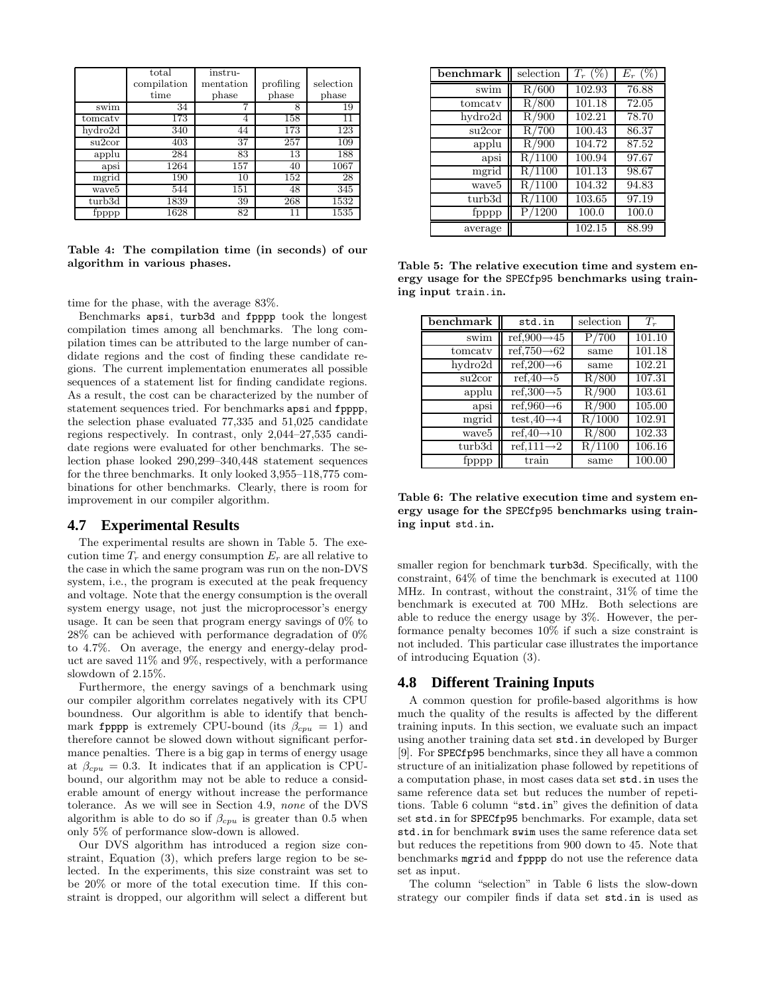|                 | total<br>compilation<br>time | instru-<br>mentation<br>$_{\text{phase}}$ | profiling<br>phase | selection<br>$_{\text{phase}}$ |
|-----------------|------------------------------|-------------------------------------------|--------------------|--------------------------------|
| swim            | 34                           |                                           | 8                  | 19                             |
| tomcaty         | 173                          | 4                                         | 158                | 11                             |
| hydro2d         | 340                          | 44                                        | 173                | 123                            |
| su2cor          | 403                          | 37                                        | 257                | 109                            |
| applu           | 284                          | 83                                        | 13                 | 188                            |
| apsi            | 1264                         | 157                                       | 40                 | 1067                           |
| mgrid           | 190                          | 10                                        | 152                | 28                             |
| wave5           | 544                          | 151                                       | 48                 | 345                            |
| $_{\rm turb3d}$ | 1839                         | 39                                        | 268                | 1532                           |
| fpppp           | 1628                         | 82                                        |                    | 1535                           |

Table 4: The compilation time (in seconds) of our algorithm in various phases.

time for the phase, with the average 83%.

Benchmarks apsi, turb3d and fpppp took the longest compilation times among all benchmarks. The long compilation times can be attributed to the large number of candidate regions and the cost of finding these candidate regions. The current implementation enumerates all possible sequences of a statement list for finding candidate regions. As a result, the cost can be characterized by the number of statement sequences tried. For benchmarks apsi and fpppp, the selection phase evaluated 77,335 and 51,025 candidate regions respectively. In contrast, only 2,044–27,535 candidate regions were evaluated for other benchmarks. The selection phase looked 290,299–340,448 statement sequences for the three benchmarks. It only looked 3,955–118,775 combinations for other benchmarks. Clearly, there is room for improvement in our compiler algorithm.

#### **4.7 Experimental Results**

The experimental results are shown in Table 5. The execution time  $T_r$  and energy consumption  $E_r$  are all relative to the case in which the same program was run on the non-DVS system, i.e., the program is executed at the peak frequency and voltage. Note that the energy consumption is the overall system energy usage, not just the microprocessor's energy usage. It can be seen that program energy savings of 0% to 28% can be achieved with performance degradation of 0% to 4.7%. On average, the energy and energy-delay product are saved 11% and 9%, respectively, with a performance slowdown of 2.15%.

Furthermore, the energy savings of a benchmark using our compiler algorithm correlates negatively with its CPU boundness. Our algorithm is able to identify that benchmark fpppp is extremely CPU-bound (its  $\beta_{cpu} = 1$ ) and therefore cannot be slowed down without significant performance penalties. There is a big gap in terms of energy usage at  $\beta_{cpu} = 0.3$ . It indicates that if an application is CPUbound, our algorithm may not be able to reduce a considerable amount of energy without increase the performance tolerance. As we will see in Section 4.9, none of the DVS algorithm is able to do so if  $\beta_{cpu}$  is greater than 0.5 when only 5% of performance slow-down is allowed.

Our DVS algorithm has introduced a region size constraint, Equation (3), which prefers large region to be selected. In the experiments, this size constraint was set to be 20% or more of the total execution time. If this constraint is dropped, our algorithm will select a different but

| benchmark | selection | $T_r$ (%) | $E_r$ (%)          |
|-----------|-----------|-----------|--------------------|
| swim      | R/600     | 102.93    | 76.88              |
| tomcaty   | R/800     | 101.18    | $\overline{72.05}$ |
| hydro2d   | R/900     | 102.21    | 78.70              |
| su2cor    | R/700     | 100.43    | 86.37              |
| applu     | R/900     | 104.72    | 87.52              |
| apsi      | R/1100    | 100.94    | 97.67              |
| mgrid     | R/1100    | 101.13    | 98.67              |
| wave5     | R/1100    | 104.32    | 94.83              |
| turb3d    | R/1100    | 103.65    | 97.19              |
| fpppp     | P/1200    | 100.0     | 100.0              |
| average   |           | 102.15    | 88.99              |

Table 5: The relative execution time and system energy usage for the SPECfp95 benchmarks using training input train.in.

| $\operatorname{benchmark}$ | std.in                   | selection | $T_r$  |
|----------------------------|--------------------------|-----------|--------|
| swim                       | $ref.900 \rightarrow 45$ | P/700     | 101.10 |
| tomcatv                    | ref,750 $\rightarrow$ 62 | same      | 101.18 |
| hydro2d                    | ref, $200 \rightarrow 6$ | same      | 102.21 |
| su <sub>2</sub> cor        | $ref.40 \rightarrow 5$   | R/800     | 107.31 |
| applu                      | $ref,300 \rightarrow 5$  | R/900     | 103.61 |
| apsi                       | ref.960 $\rightarrow$ 6  | R/900     | 105.00 |
| mgrid                      | $test, 40 \rightarrow 4$ | R/1000    | 102.91 |
| wave5                      | $ref.40 \rightarrow 10$  | R/800     | 102.33 |
| $_{\rm turb3d}$            | ref, $111 \rightarrow 2$ | R/1100    | 106.16 |
| fpppp                      | train                    | same      | 100.00 |

Table 6: The relative execution time and system energy usage for the SPECfp95 benchmarks using training input std.in.

smaller region for benchmark turb3d. Specifically, with the constraint, 64% of time the benchmark is executed at 1100 MHz. In contrast, without the constraint, 31% of time the benchmark is executed at 700 MHz. Both selections are able to reduce the energy usage by 3%. However, the performance penalty becomes 10% if such a size constraint is not included. This particular case illustrates the importance of introducing Equation (3).

#### **4.8 Different Training Inputs**

A common question for profile-based algorithms is how much the quality of the results is affected by the different training inputs. In this section, we evaluate such an impact using another training data set std.in developed by Burger [9]. For SPECfp95 benchmarks, since they all have a common structure of an initialization phase followed by repetitions of a computation phase, in most cases data set std.in uses the same reference data set but reduces the number of repetitions. Table 6 column "std.in" gives the definition of data set std.in for SPECfp95 benchmarks. For example, data set std.in for benchmark swim uses the same reference data set but reduces the repetitions from 900 down to 45. Note that benchmarks mgrid and fpppp do not use the reference data set as input.

The column "selection" in Table 6 lists the slow-down strategy our compiler finds if data set std.in is used as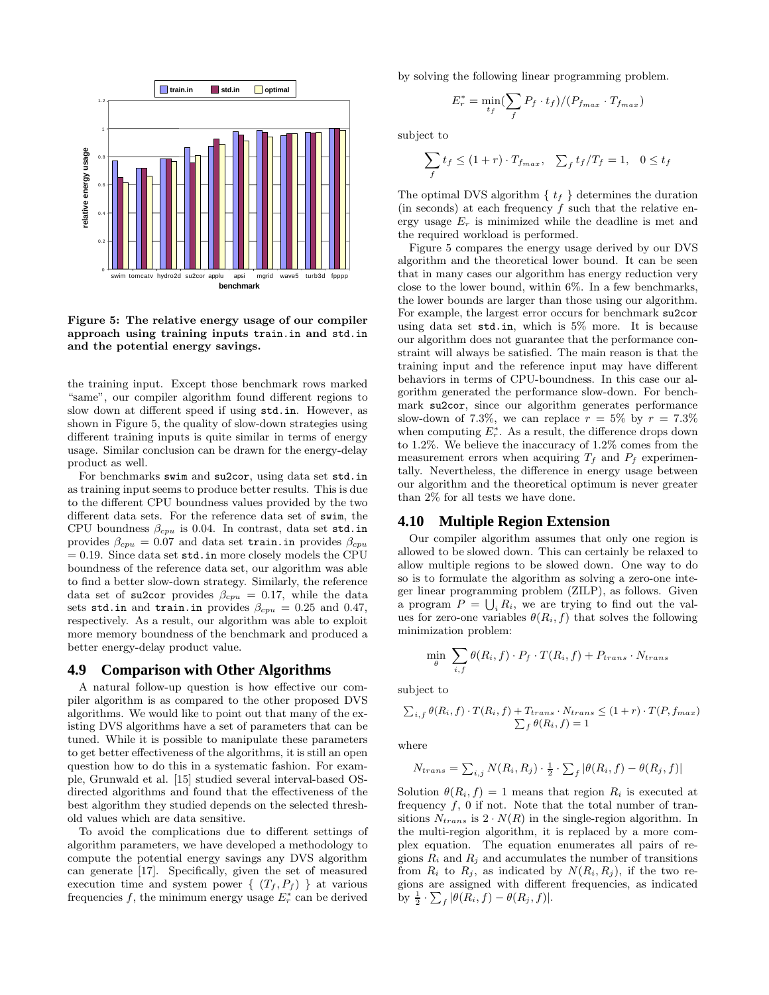

Figure 5: The relative energy usage of our compiler approach using training inputs train.in and std.in and the potential energy savings.

the training input. Except those benchmark rows marked "same", our compiler algorithm found different regions to slow down at different speed if using std.in. However, as shown in Figure 5, the quality of slow-down strategies using different training inputs is quite similar in terms of energy usage. Similar conclusion can be drawn for the energy-delay product as well.

For benchmarks swim and su2cor, using data set std.in as training input seems to produce better results. This is due to the different CPU boundness values provided by the two different data sets. For the reference data set of swim, the CPU boundness  $\beta_{cpu}$  is 0.04. In contrast, data set std.in provides  $\beta_{cpu} = 0.07$  and data set train.in provides  $\beta_{cpu}$  $= 0.19$ . Since data set std.in more closely models the CPU boundness of the reference data set, our algorithm was able to find a better slow-down strategy. Similarly, the reference data set of su2cor provides  $\beta_{cpu} = 0.17$ , while the data sets std.in and train.in provides  $\beta_{cpu} = 0.25$  and 0.47, respectively. As a result, our algorithm was able to exploit more memory boundness of the benchmark and produced a better energy-delay product value.

#### **4.9 Comparison with Other Algorithms**

A natural follow-up question is how effective our compiler algorithm is as compared to the other proposed DVS algorithms. We would like to point out that many of the existing DVS algorithms have a set of parameters that can be tuned. While it is possible to manipulate these parameters to get better effectiveness of the algorithms, it is still an open question how to do this in a systematic fashion. For example, Grunwald et al. [15] studied several interval-based OSdirected algorithms and found that the effectiveness of the best algorithm they studied depends on the selected threshold values which are data sensitive.

To avoid the complications due to different settings of algorithm parameters, we have developed a methodology to compute the potential energy savings any DVS algorithm can generate [17]. Specifically, given the set of measured execution time and system power  $\{ (T_f, P_f) \}$  at various frequencies f, the minimum energy usage  $E_r^*$  can be derived

by solving the following linear programming problem.

$$
E_r^* = \min_{t_f} (\sum_f P_f \cdot t_f) / (P_{f_{max}} \cdot T_{f_{max}})
$$

subject to

$$
\sum_{f} t_f \le (1+r) \cdot T_{f_{max}}, \quad \sum_{f} t_f / T_f = 1, \quad 0 \le t_f
$$

The optimal DVS algorithm  $\{t_f\}$  determines the duration (in seconds) at each frequency  $f$  such that the relative energy usage  $E_r$  is minimized while the deadline is met and the required workload is performed.

Figure 5 compares the energy usage derived by our DVS algorithm and the theoretical lower bound. It can be seen that in many cases our algorithm has energy reduction very close to the lower bound, within 6%. In a few benchmarks, the lower bounds are larger than those using our algorithm. For example, the largest error occurs for benchmark su2cor using data set std.in, which is 5% more. It is because our algorithm does not guarantee that the performance constraint will always be satisfied. The main reason is that the training input and the reference input may have different behaviors in terms of CPU-boundness. In this case our algorithm generated the performance slow-down. For benchmark su2cor, since our algorithm generates performance slow-down of 7.3%, we can replace  $r = 5\%$  by  $r = 7.3\%$ when computing  $E_r^*$ . As a result, the difference drops down to 1.2%. We believe the inaccuracy of 1.2% comes from the measurement errors when acquiring  $T_f$  and  $P_f$  experimentally. Nevertheless, the difference in energy usage between our algorithm and the theoretical optimum is never greater than 2% for all tests we have done.

## **4.10 Multiple Region Extension**

Our compiler algorithm assumes that only one region is allowed to be slowed down. This can certainly be relaxed to allow multiple regions to be slowed down. One way to do so is to formulate the algorithm as solving a zero-one integer linear programming problem (ZILP), as follows. Given a program  $P = \bigcup_i R_i$ , we are trying to find out the values for zero-one variables  $\theta(R_i, f)$  that solves the following minimization problem:

$$
\min_{\theta} \sum_{i,f} \theta(R_i,f) \cdot P_f \cdot T(R_i,f) + P_{trans} \cdot N_{trans}
$$

subject to

$$
\sum_{i,f} \theta(R_i, f) \cdot T(R_i, f) + T_{trans} \cdot N_{trans} \le (1+r) \cdot T(P, f_{max})
$$
  

$$
\sum_{f} \theta(R_i, f) = 1
$$

where

$$
N_{trans} = \sum_{i,j} N(R_i, R_j) \cdot \frac{1}{2} \cdot \sum_{f} |\theta(R_i, f) - \theta(R_j, f)|
$$

Solution  $\theta(R_i, f) = 1$  means that region  $R_i$  is executed at frequency  $f$ , 0 if not. Note that the total number of transitions  $N_{trans}$  is  $2 \cdot N(R)$  in the single-region algorithm. In the multi-region algorithm, it is replaced by a more complex equation. The equation enumerates all pairs of regions  $R_i$  and  $R_j$  and accumulates the number of transitions from  $R_i$  to  $R_j$ , as indicated by  $N(R_i, R_j)$ , if the two regions are assigned with different frequencies, as indicated by  $\frac{1}{2} \cdot \sum_f |\theta(R_i, f) - \theta(R_j, f)|$ .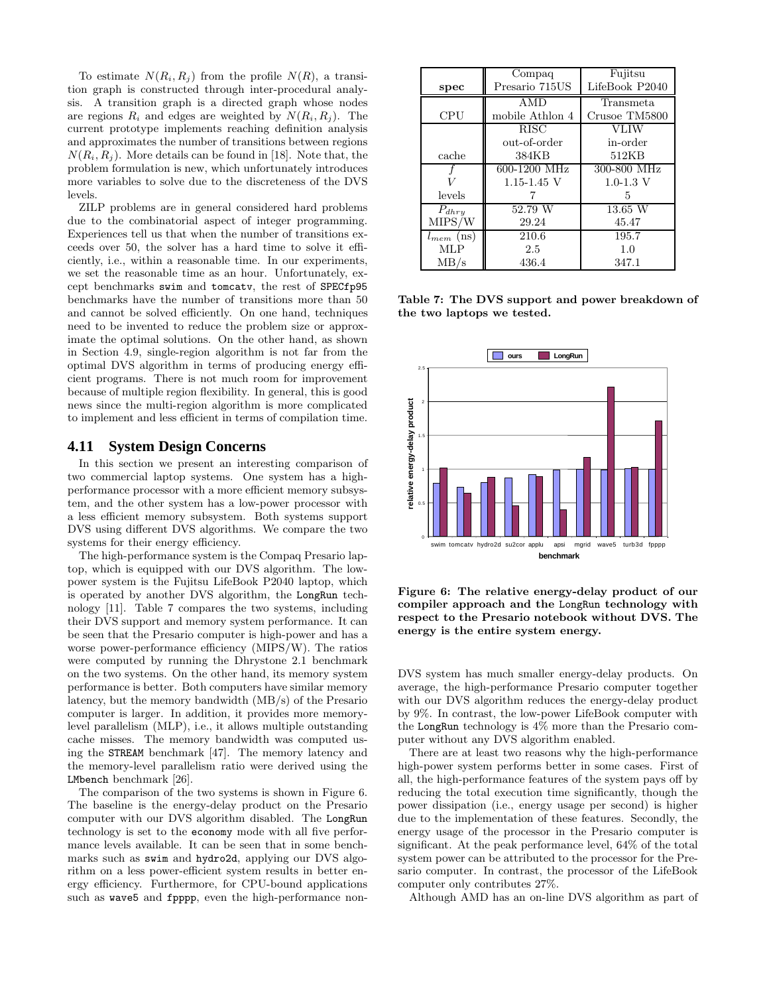To estimate  $N(R_i, R_j)$  from the profile  $N(R)$ , a transition graph is constructed through inter-procedural analysis. A transition graph is a directed graph whose nodes are regions  $R_i$  and edges are weighted by  $N(R_i, R_j)$ . The current prototype implements reaching definition analysis and approximates the number of transitions between regions  $N(R_i, R_j)$ . More details can be found in [18]. Note that, the problem formulation is new, which unfortunately introduces more variables to solve due to the discreteness of the DVS levels.

ZILP problems are in general considered hard problems due to the combinatorial aspect of integer programming. Experiences tell us that when the number of transitions exceeds over 50, the solver has a hard time to solve it efficiently, i.e., within a reasonable time. In our experiments, we set the reasonable time as an hour. Unfortunately, except benchmarks swim and tomcatv, the rest of SPECfp95 benchmarks have the number of transitions more than 50 and cannot be solved efficiently. On one hand, techniques need to be invented to reduce the problem size or approximate the optimal solutions. On the other hand, as shown in Section 4.9, single-region algorithm is not far from the optimal DVS algorithm in terms of producing energy efficient programs. There is not much room for improvement because of multiple region flexibility. In general, this is good news since the multi-region algorithm is more complicated to implement and less efficient in terms of compilation time.

#### **4.11 System Design Concerns**

In this section we present an interesting comparison of two commercial laptop systems. One system has a highperformance processor with a more efficient memory subsystem, and the other system has a low-power processor with a less efficient memory subsystem. Both systems support DVS using different DVS algorithms. We compare the two systems for their energy efficiency.

The high-performance system is the Compaq Presario laptop, which is equipped with our DVS algorithm. The lowpower system is the Fujitsu LifeBook P2040 laptop, which is operated by another DVS algorithm, the LongRun technology [11]. Table 7 compares the two systems, including their DVS support and memory system performance. It can be seen that the Presario computer is high-power and has a worse power-performance efficiency (MIPS/W). The ratios were computed by running the Dhrystone 2.1 benchmark on the two systems. On the other hand, its memory system performance is better. Both computers have similar memory latency, but the memory bandwidth (MB/s) of the Presario computer is larger. In addition, it provides more memorylevel parallelism (MLP), i.e., it allows multiple outstanding cache misses. The memory bandwidth was computed using the STREAM benchmark [47]. The memory latency and the memory-level parallelism ratio were derived using the LMbench benchmark [26].

The comparison of the two systems is shown in Figure 6. The baseline is the energy-delay product on the Presario computer with our DVS algorithm disabled. The LongRun technology is set to the economy mode with all five performance levels available. It can be seen that in some benchmarks such as swim and hydro2d, applying our DVS algorithm on a less power-efficient system results in better energy efficiency. Furthermore, for CPU-bound applications such as wave5 and fpppp, even the high-performance non-

| spec           | Compaq<br>Presario 715US | Fujitsu<br>LifeBook P2040 |
|----------------|--------------------------|---------------------------|
|                | <b>AMD</b>               | <b>Transmeta</b>          |
| $\mathrm{CPU}$ | mobile Athlon 4          | Crusoe TM5800             |
|                | <b>RISC</b>              | <b>VLIW</b>               |
|                | out-of-order             | in-order                  |
| cache          | 384KB                    | 512KB                     |
|                | $600-1200$ MHz           | 300-800 MHz               |
|                | $1.15 - 1.45$ V          | $1.0 - 1.3$ V             |
| levels         |                          | 5                         |
| $P_{dhry}$     | 52.79 W                  | 13.65 W                   |
| MIPS/W         | 29.24                    | 45.47                     |
| $l_{mem}$ (ns) | 210.6                    | 195.7                     |
| MLP            | 2.5                      | 1.0                       |
| MB/s           | 436.4                    | 347.1                     |

Table 7: The DVS support and power breakdown of the two laptops we tested.



Figure 6: The relative energy-delay product of our compiler approach and the LongRun technology with respect to the Presario notebook without DVS. The energy is the entire system energy.

DVS system has much smaller energy-delay products. On average, the high-performance Presario computer together with our DVS algorithm reduces the energy-delay product by 9%. In contrast, the low-power LifeBook computer with the LongRun technology is 4% more than the Presario computer without any DVS algorithm enabled.

There are at least two reasons why the high-performance high-power system performs better in some cases. First of all, the high-performance features of the system pays off by reducing the total execution time significantly, though the power dissipation (i.e., energy usage per second) is higher due to the implementation of these features. Secondly, the energy usage of the processor in the Presario computer is significant. At the peak performance level, 64% of the total system power can be attributed to the processor for the Presario computer. In contrast, the processor of the LifeBook computer only contributes 27%.

Although AMD has an on-line DVS algorithm as part of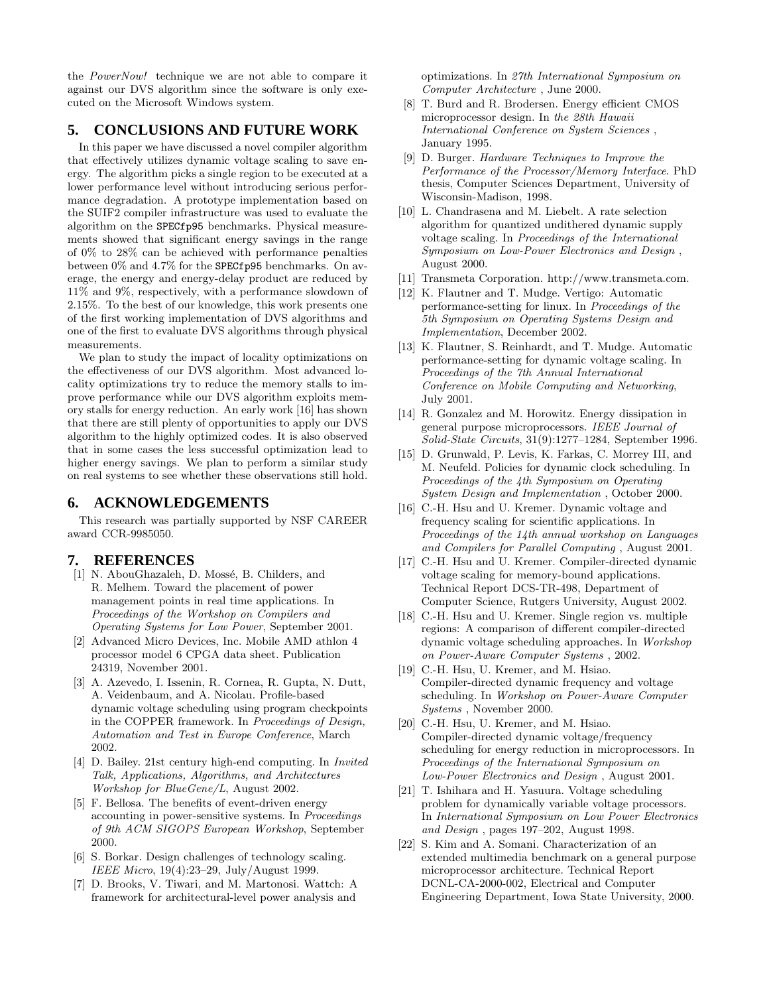the PowerNow! technique we are not able to compare it against our DVS algorithm since the software is only executed on the Microsoft Windows system.

## **5. CONCLUSIONS AND FUTURE WORK**

In this paper we have discussed a novel compiler algorithm that effectively utilizes dynamic voltage scaling to save energy. The algorithm picks a single region to be executed at a lower performance level without introducing serious performance degradation. A prototype implementation based on the SUIF2 compiler infrastructure was used to evaluate the algorithm on the SPECfp95 benchmarks. Physical measurements showed that significant energy savings in the range of 0% to 28% can be achieved with performance penalties between 0% and 4.7% for the SPECfp95 benchmarks. On average, the energy and energy-delay product are reduced by 11% and 9%, respectively, with a performance slowdown of 2.15%. To the best of our knowledge, this work presents one of the first working implementation of DVS algorithms and one of the first to evaluate DVS algorithms through physical measurements.

We plan to study the impact of locality optimizations on the effectiveness of our DVS algorithm. Most advanced locality optimizations try to reduce the memory stalls to improve performance while our DVS algorithm exploits memory stalls for energy reduction. An early work [16] has shown that there are still plenty of opportunities to apply our DVS algorithm to the highly optimized codes. It is also observed that in some cases the less successful optimization lead to higher energy savings. We plan to perform a similar study on real systems to see whether these observations still hold.

### **6. ACKNOWLEDGEMENTS**

This research was partially supported by NSF CAREER award CCR-9985050.

#### **7. REFERENCES**

- [1] N. AbouGhazaleh, D. Mossé, B. Childers, and R. Melhem. Toward the placement of power management points in real time applications. In Proceedings of the Workshop on Compilers and Operating Systems for Low Power, September 2001.
- [2] Advanced Micro Devices, Inc. Mobile AMD athlon 4 processor model 6 CPGA data sheet. Publication 24319, November 2001.
- [3] A. Azevedo, I. Issenin, R. Cornea, R. Gupta, N. Dutt, A. Veidenbaum, and A. Nicolau. Profile-based dynamic voltage scheduling using program checkpoints in the COPPER framework. In Proceedings of Design, Automation and Test in Europe Conference, March 2002.
- [4] D. Bailey. 21st century high-end computing. In Invited Talk, Applications, Algorithms, and Architectures Workshop for BlueGene/L, August 2002.
- [5] F. Bellosa. The benefits of event-driven energy accounting in power-sensitive systems. In Proceedings of 9th ACM SIGOPS European Workshop, September 2000.
- [6] S. Borkar. Design challenges of technology scaling. IEEE Micro, 19(4):23–29, July/August 1999.
- [7] D. Brooks, V. Tiwari, and M. Martonosi. Wattch: A framework for architectural-level power analysis and

optimizations. In 27th International Symposium on Computer Architecture , June 2000.

- [8] T. Burd and R. Brodersen. Energy efficient CMOS microprocessor design. In the 28th Hawaii International Conference on System Sciences , January 1995.
- [9] D. Burger. Hardware Techniques to Improve the Performance of the Processor/Memory Interface. PhD thesis, Computer Sciences Department, University of Wisconsin-Madison, 1998.
- [10] L. Chandrasena and M. Liebelt. A rate selection algorithm for quantized undithered dynamic supply voltage scaling. In Proceedings of the International Symposium on Low-Power Electronics and Design , August 2000.
- [11] Transmeta Corporation. http://www.transmeta.com.
- [12] K. Flautner and T. Mudge. Vertigo: Automatic performance-setting for linux. In Proceedings of the 5th Symposium on Operating Systems Design and Implementation, December 2002.
- [13] K. Flautner, S. Reinhardt, and T. Mudge. Automatic performance-setting for dynamic voltage scaling. In Proceedings of the 7th Annual International Conference on Mobile Computing and Networking, July 2001.
- [14] R. Gonzalez and M. Horowitz. Energy dissipation in general purpose microprocessors. IEEE Journal of Solid-State Circuits, 31(9):1277–1284, September 1996.
- [15] D. Grunwald, P. Levis, K. Farkas, C. Morrey III, and M. Neufeld. Policies for dynamic clock scheduling. In Proceedings of the 4th Symposium on Operating System Design and Implementation , October 2000.
- [16] C.-H. Hsu and U. Kremer. Dynamic voltage and frequency scaling for scientific applications. In Proceedings of the 14th annual workshop on Languages and Compilers for Parallel Computing , August 2001.
- [17] C.-H. Hsu and U. Kremer. Compiler-directed dynamic voltage scaling for memory-bound applications. Technical Report DCS-TR-498, Department of Computer Science, Rutgers University, August 2002.
- [18] C.-H. Hsu and U. Kremer. Single region vs. multiple regions: A comparison of different compiler-directed dynamic voltage scheduling approaches. In Workshop on Power-Aware Computer Systems , 2002.
- [19] C.-H. Hsu, U. Kremer, and M. Hsiao. Compiler-directed dynamic frequency and voltage scheduling. In Workshop on Power-Aware Computer Systems , November 2000.
- [20] C.-H. Hsu, U. Kremer, and M. Hsiao. Compiler-directed dynamic voltage/frequency scheduling for energy reduction in microprocessors. In Proceedings of the International Symposium on Low-Power Electronics and Design , August 2001.
- [21] T. Ishihara and H. Yasuura. Voltage scheduling problem for dynamically variable voltage processors. In International Symposium on Low Power Electronics and Design , pages 197–202, August 1998.
- [22] S. Kim and A. Somani. Characterization of an extended multimedia benchmark on a general purpose microprocessor architecture. Technical Report DCNL-CA-2000-002, Electrical and Computer Engineering Department, Iowa State University, 2000.